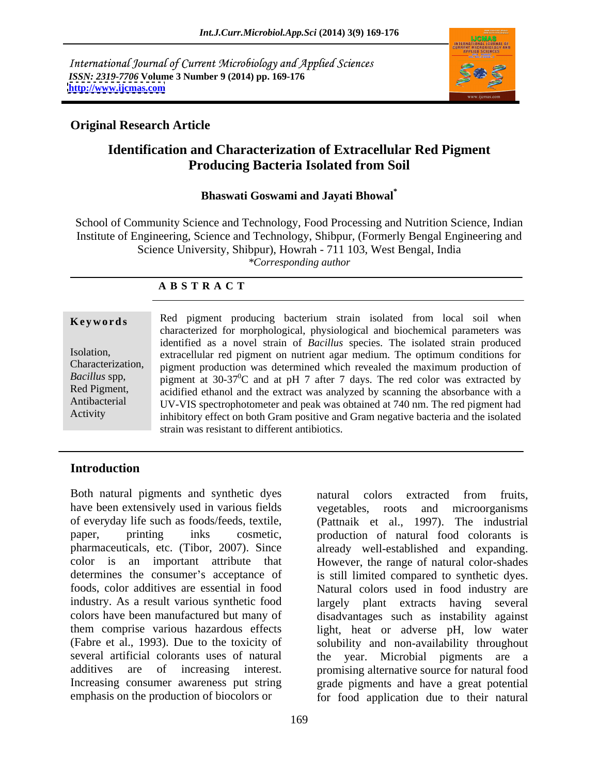International Journal of Current Microbiology and Applied Sciences *ISSN: 2319-7706* **Volume 3 Number 9 (2014) pp. 169-176 <http://www.ijcmas.com>**



## **Original Research Article**

# **Identification and Characterization of Extracellular Red Pigment Producing Bacteria Isolated from Soil**

### **Bhaswati Goswami and Jayati Bhowal\***

School of Community Science and Technology, Food Processing and Nutrition Science, Indian Institute of Engineering, Science and Technology, Shibpur, (Formerly Bengal Engineering and Science University, Shibpur), Howrah - 711 103, West Bengal, India *\*Corresponding author* 

### **A B S T R A C T**

**Keywords** Red pigment producing bacterium strain isolated from local soil when Isolation, extracellular red pigment on nutrient agar medium. The optimum conditions for Characterization, pigment production was determined which revealed the maximum production of Bacillus spp, pigment at 30-37<sup>o</sup>C and at pH 7 after 7 days. The red color was extracted by Red Pigment, acidified ethanol and the extract was analyzed by scanning the absorbance with a Antibacterial UV-VIS spectrophotometer and peak was obtained at 740 nm. The red pigment had Activity inhibitory effect on both Gram positive and Gram negative bacteria and the isolated characterized for morphological, physiological and biochemical parameters was identified as a novel strain of *Bacillus* species. The isolated strain produced strain was resistant to different antibiotics.

## **Introduction**

Both natural pigments and synthetic dyes a natural colors extracted from fruits, have been extensively used in various fields vegetables, roots and microorganisms of everyday life such as foods/feeds, textile, (Pattnaik et al., 1997). The industrial paper, printing inks cosmetic, production of natural food colorants is pharmaceuticals, etc. (Tibor, 2007). Since already well-established and expanding. color is an important attribute that However, the range of natural color-shades determines the consumer's acceptance of is still limited compared to synthetic dyes. foods, color additives are essential in food Natural colors used in food industry are industry. As a result various synthetic food largely plant extracts having several colors have been manufactured but many of disadvantages such as instability against them comprise various hazardous effects light, heat or adverse pH, low water (Fabre et al., 1993). Due to the toxicity of solubility and non-availability throughout several artificial colorants uses of natural the year. Microbial pigments are a additives are of increasing interest. promising alternative source for natural food Increasing consumer awareness put string grade pigments and have a great potential

emphasis on the production of biocolors or for food application due to their natural natural colors extracted from fruits, vegetables, roots and microorganisms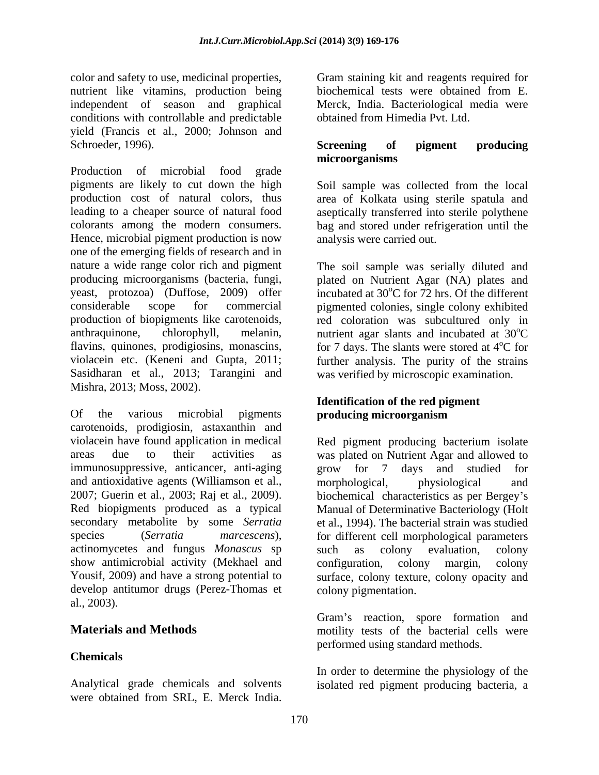color and safety to use, medicinal properties, Gram staining kit and reagents required for nutrient like vitamins, production being biochemical tests were obtained from E. independent of season and graphical Merck, India. Bacteriological media were conditions with controllable and predictable yield (Francis et al., 2000; Johnson and Schroeder, 1996). Screening of pigment producing

Production of microbial food grade pigments are likely to cut down the high Soil sample was collected from the local production cost of natural colors, thus area of Kolkata using sterile spatula and leading to a cheaper source of natural food aseptically transferred into sterile polythene colorants among the modern consumers. bag and stored under refrigeration until the Hence, microbial pigment production is now one of the emerging fields of research and in nature a wide range color rich and pigment The soil sample was serially diluted and producing microorganisms (bacteria, fungi, plated on Nutrient Agar (NA) plates and yeast, protozoa) (Duffose, 2009) offer incubated at  $30^{\circ}$ C for  $72$  hrs. Of the different considerable scope for commercial pigmented colonies, single colony exhibited production of biopigments like carotenoids, red coloration was subcultured only in anthraquinone, chlorophyll, melanin, nutrient agar slants and incubated at 30°C flavins, quinones, prodigiosins, monascins, for 7 days. The slants were stored at  $4^{\circ}C$  for violacein etc. (Keneni and Gupta, 2011; further analysis. The purity of the strains Sasidharan et al., 2013; Tarangini and was verified by microscopic examination. Mishra, 2013; Moss, 2002). solonizating the sympathics of the properties. The material properties of the sympathic of the sympathic of the sympathic control and reduction the sympathic method is the sympathic of the sympathic method is the sympathi

Of the various microbial pigments **producing microorganism** carotenoids, prodigiosin, astaxanthin and violacein have found application in medical Red pigment producing bacterium isolate areas due to their activities as was plated on Nutrient Agar and allowed to immunosuppressive, anticancer, anti-aging erow for 7 days and studied for and antioxidative agents (Williamson et al., morphological, physiological and 2007; Guerin et al., 2003; Raj et al., 2009). biochemical characteristics as per Bergey s Red biopigments produced as a typical Manual of Determinative Bacteriology (Holt secondary metabolite by some *Serratia* species (*Serratia marcescens*), for different cell morphological parameters actinomycetes and fungus *Monascus* sp show antimicrobial activity (Mekhael and configuration, colony margin, colony Yousif, 2009) and have a strong potential to surface, colony texture, colony opacity and develop antitumor drugs (Perez-Thomas et al., 2003).

## **Chemicals**

Analytical grade chemicals and solvents isolated red pigment producing bacteria, a

obtained from Himedia Pvt. Ltd.

## **Screening of pigment producing microorganisms**

analysis were carried out.

 $\rm ^{o}C$ <sup>o</sup>C for

## **Identification of the red pigment producing microorganism**

grow for 7 days and studied for morphological, physiological and et al., 1994). The bacterial strain was studied such as colony evaluation, colony configuration, colony margin, colony colony pigmentation.

**Materials and Methods** motility tests of the bacterial cells were Gram's reaction, spore formation and performed using standard methods.

In order to determine the physiology of the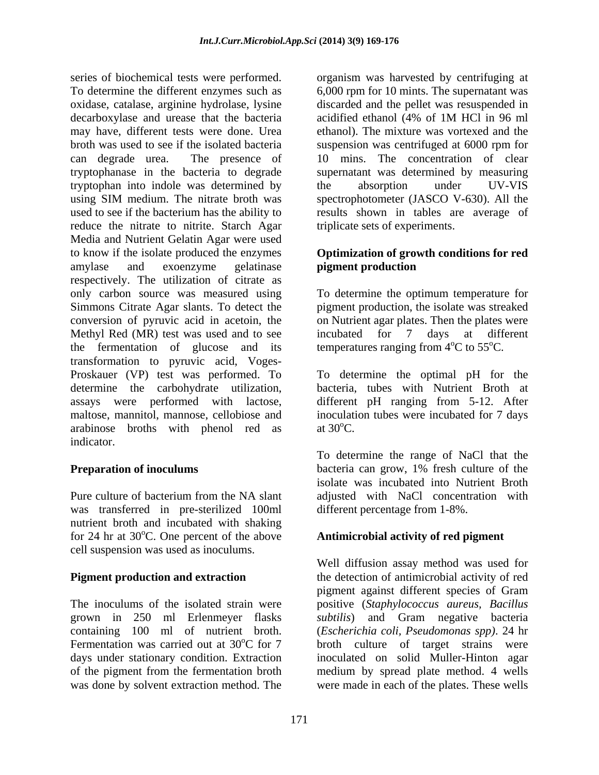series of biochemical tests were performed. organism was harvested by centrifuging at To determine the different enzymes such as 6,000 rpm for 10 mints. The supernatant was oxidase, catalase, arginine hydrolase, lysine decarboxylase and urease that the bacteria acidified ethanol (4% of 1M HCl in 96 ml may have, different tests were done. Urea broth was used to see if the isolated bacteria suspension was centrifuged at 6000 rpm for can degrade urea. The presence of 10 mins. The concentration of clear tryptophanase in the bacteria to degrade supernatant was determined by measuring tryptophan into indole was determined by using SIM medium. The nitrate broth was spectrophotometer (JASCO V-630). All the used to see if the bacterium has the ability to results shown in tables are average of reduce the nitrate to nitrite. Starch Agar Media and Nutrient Gelatin Agar were used to know if the isolate produced the enzymes **Optimization of growth conditions for red**  amylase and exoenzyme gelatinase **pigment production** respectively. The utilization of citrate as only carbon source was measured using To determine the optimum temperature for Simmons Citrate Agar slants. To detect the pigment production, the isolate was streaked conversion of pyruvic acid in acetoin, the Methyl Red (MR) test was used and to see incubated for 7 days at different the fermentation of glucose and its transformation to pyruvic acid, Voges- Proskauer (VP) test was performed. To determine the carbohydrate utilization, bacteria, tubes with Nutrient Broth at assays were performed with lactose, different pH ranging from 5-12. After maltose, mannitol, mannose, cellobiose and inoculation tubes were incubated for 7 days arabinose broths with phenol red as at 30<sup>o</sup>C. indicator.

Pure culture of bacterium from the NA slant adjusted with NaCl concentration with was transferred in pre-sterilized 100ml nutrient broth and incubated with shaking for 24 hr at  $30^{\circ}$ C. One percent of the above cell suspension was used as inoculums.

grown in 250 ml Erlenmeyer flasks

discarded and the pellet was resuspended in acidified ethanol (4% of 1M HCl in 96 ml ethanol). The mixture was vortexed and the the absorption under UV-VIS spectrophotometer (JASCO V-630). All the triplicate sets of experiments.

# **pigment production**

on Nutrient agar plates. Then the plates were incubated for 7 days at different temperatures ranging from  $4^{\circ}$ C to  $55^{\circ}$ C.

To determine the optimal pH for the at  $30^{\circ}$ C.

**Preparation of inoculums** bacteria can grow, 1% fresh culture of the To determine the range of NaCl that the isolate was incubated into Nutrient Broth different percentage from 1-8%.

# <sup>o</sup>C. One percent of the above **Antimicrobial activity of red pigment**

**Pigment production and extraction** the detection of antimicrobial activity of red The inoculums of the isolated strain were positive (*Staphylococcus aureus, Bacillus* containing 100 ml of nutrient broth. (*Escherichia coli, Pseudomonas spp)*. 24 hr Fermentation was carried out at  $30^{\circ}$ C for 7 broth culture of target strains were days under stationary condition. Extraction inoculated on solid Muller-Hinton agar of the pigment from the fermentation broth medium by spread plate method. 4 wells was done by solvent extraction method. The were made in each of the plates. These wellsWell diffusion assay method was used for pigment against different species of Gram *subtilis*) and Gram negative bacteria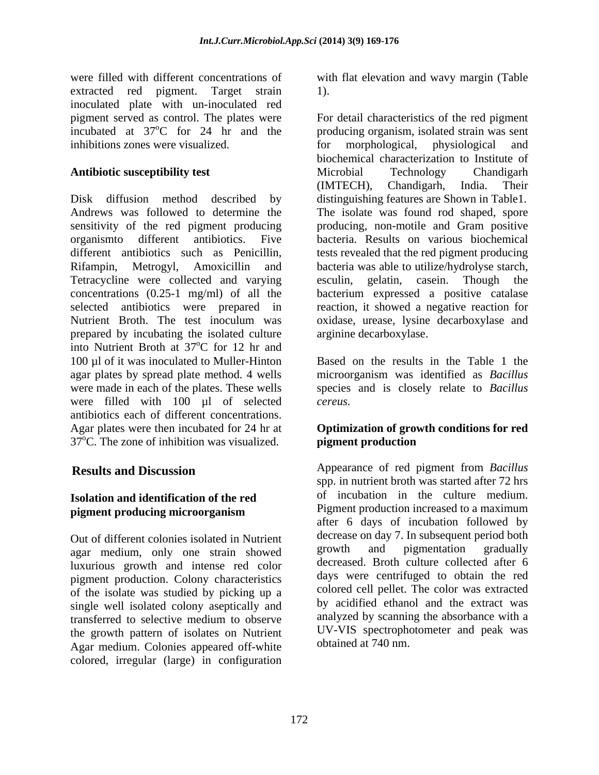were filled with different concentrations of with flat elevation and wavy margin (Table extracted red pigment. Target strain 1). inoculated plate with un-inoculated red inhibitions zones were visualized. The interval of the morphological, physiological and

Disk diffusion method described by distinguishing features are Shown in Table1. Andrews was followed to determine the The isolate was found rod shaped, spore sensitivity of the red pigment producing producing, non-motile and Gram positive organismto different antibiotics. Five bacteria. Results on various biochemical different antibiotics such as Penicillin, tests revealed that the red pigment producing Rifampin, Metrogyl, Amoxicillin and Tetracycline were collected and varying esculin, gelatin, casein. Though the concentrations (0.25-1 mg/ml) of all the bacterium expressed a positive catalase selected antibiotics were prepared in reaction, it showed a negative reaction for Nutrient Broth. The test inoculum was oxidase, urease, lysine decarboxylase and prepared by incubating the isolated culture into Nutrient Broth at 37°C for 12 hr and oC for 12 hr and 100 µl of it was inoculated to Muller-Hinton agar plates by spread plate method. 4 wells were made in each of the plates. These wells were filled with 100 µl of selected cereus. antibiotics each of different concentrations. Agar plates were then incubated for 24 hr at **Optimization of growth conditions for red**   $37^{\circ}$ C. The zone of inhibition was visualized. **pigment production** 

# **Isolation and identification of the red**

Out of different colonies isolated in Nutrient<br>
agar medium only one strain showed<br>
Showed<br>
Out and pigmentation gradually agar medium, only one strain showed luxurious growth and intense red color pigment production. Colony characteristics of the isolate was studied by picking up a single well isolated colony aseptically and transferred to selective medium to observe the growth pattern of isolates on Nutrient Agar medium. Colonies appeared off-white colored, irregular (large) in configuration

1).

pigment served as control. The plates were For detail characteristics of the red pigment incubated at  $37^{\circ}$ C for 24 hr and the producing organism, isolated strain was sent Antibiotic susceptibility test **Microbial** Technology Chandigarh for morphological, physiological and biochemical characterization to Institute of Microbial Technology Chandigarh (IMTECH), Chandigarh, India. Their bacteria was able to utilize/hydrolyse starch, gelatin, casein. Though arginine decarboxylase.

> Based on the results in the Table 1 the microorganism was identified as *Bacillus*  species and is closely relate to *Bacillus cereus.*

# **pigment production**

**Results and Discussion** Appearance of red pigment from *Bacillus* **pigment producing microorganism** spp. in nutrient broth was started after 72 hrs of incubation in the culture medium. Pigment production increased to a maximum after 6 days of incubation followed by decrease on day 7. In subsequent period both growth and pigmentation gradually decreased. Broth culture collected after 6 days were centrifuged to obtain the red colored cell pellet. The color was extracted by acidified ethanol and the extract was analyzed by scanning the absorbance with a UV-VIS spectrophotometer and peak was obtained at 740 nm.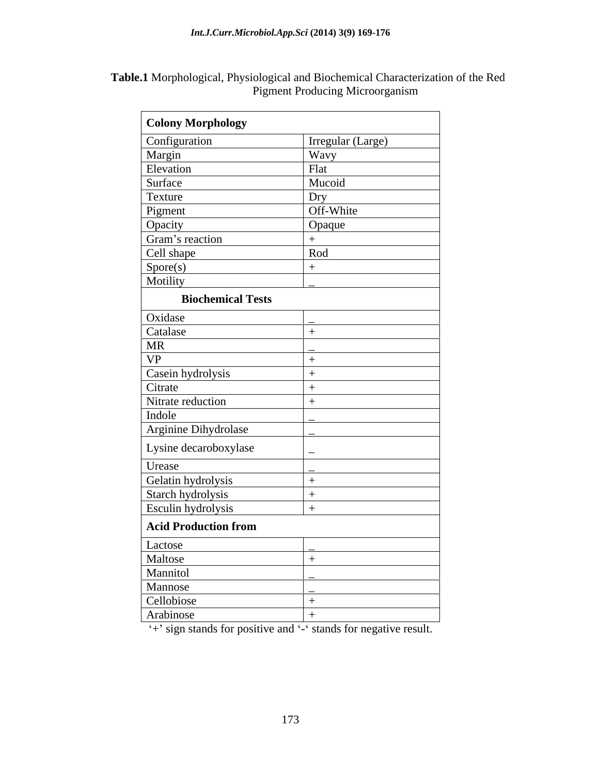**Table.1** Morphological, Physiological and Biochemical Characterization of the Red Pigment Producing Microorganism

 $\mathcal{L}_{\mathcal{A}}$ 

| <b>Colony Morphology</b>    |                   |
|-----------------------------|-------------------|
| Configuration               | Irregular (Large) |
| Margin<br>Elevation         | <b>Wavy</b>       |
|                             | Flat              |
| Surface                     | Mucoid            |
| Texture                     | Dry               |
| Pigment                     | Off-White         |
|                             | Opaque            |
| Opacity<br>Gram's reaction  | $+$               |
| Cell shape                  | Rod               |
|                             | $+$               |
| Spore(s)<br>Motility        |                   |
| <b>Biochemical Tests</b>    |                   |
| Oxidase                     |                   |
| Catalase                    |                   |
| MR                          |                   |
| VP                          |                   |
| Casein hydrolysis           |                   |
| Citrate                     |                   |
| Nitrate reduction           |                   |
| Indole                      |                   |
| Arginine Dihydrolase        |                   |
|                             |                   |
| Lysine decaroboxylase       |                   |
| Urease                      |                   |
| Gelatin hydrolysis          |                   |
| Starch hydrolysis           |                   |
| Esculin hydrolysis          | $+$               |
| <b>Acid Production from</b> |                   |
| Lactose                     |                   |
| Maltose                     |                   |
| Mannitol                    |                   |
| Mannose                     |                   |
| Cellobiose                  |                   |
| Arabinose                   |                   |

 $'$ +' sign stands for positive and  $'$ -' stands for negative result.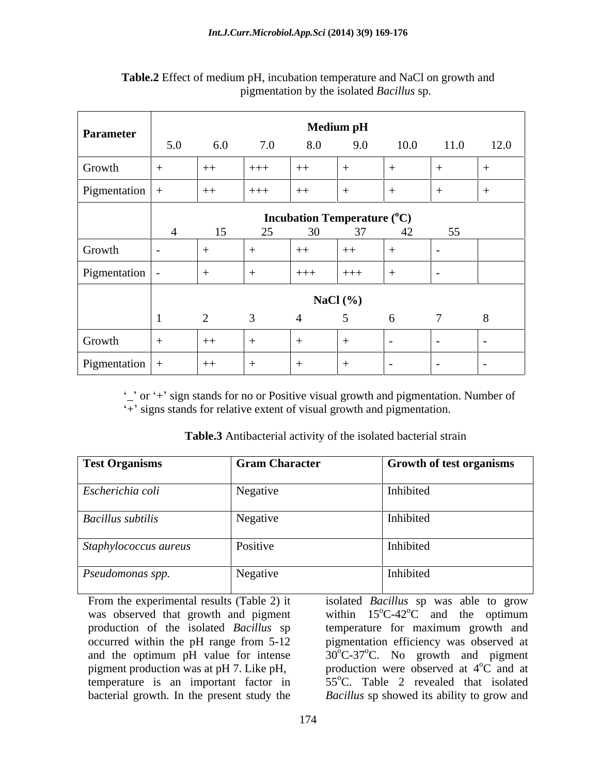| Parameter                         |     |     |         |                 | <b>Medium pH</b>                   |      |      |        |
|-----------------------------------|-----|-----|---------|-----------------|------------------------------------|------|------|--------|
|                                   | 5.0 | 6.0 | 7.0     | 8.0             | 9.0                                | 10.0 | 11.0 | 12.0   |
| Growth                            |     | $+$ | $+ + +$ | $++$            |                                    |      |      |        |
| Pigmentation $  +$                |     | $+$ | $+++$   | $++$            |                                    |      | $+$  |        |
|                                   |     |     |         |                 | <b>Incubation Temperature (°C)</b> |      |      |        |
|                                   |     |     | 25      | 30 <sup>2</sup> | 27                                 | 42   | 55   |        |
| Growth                            |     |     |         | $++$            | $++$                               | $+$  |      |        |
|                                   |     |     |         |                 |                                    |      |      |        |
| Pigmentation  -                   |     | $+$ | $+$     | $+++$           | $+ + +$                            | $+$  | . .  |        |
|                                   |     |     |         |                 | NaCl $(%$                          |      |      |        |
|                                   |     |     |         |                 |                                    |      |      |        |
|                                   |     |     |         |                 |                                    |      |      |        |
| Growth                            |     |     |         |                 |                                    |      |      |        |
| $\left $ Pigmentation $\right $ + |     | $+$ |         |                 |                                    |      |      | $\sim$ |

### **Table.2** Effect of medium pH, incubation temperature and NaCl on growth and pigmentation by the isolated *Bacillus* sp.

 $\frac{1}{2}$  or  $\div$  sign stands for no or Positive visual growth and pigmentation. Number of + signs stands for relative extent of visual growth and pigmentation.

| <b>Test Organisms</b>    | <b>Gram Character</b> | Growth of test organisms |
|--------------------------|-----------------------|--------------------------|
| Escherichia coli         | Negative              | Inhibited                |
| <b>Bacillus</b> subtilis | Negative              | Inhibited                |
| Staphylococcus aureus    | Positive              | Inhibited                |
| Pseudomonas spp.         | Negative              | Inhibited                |

**Table.3** Antibacterial activity of the isolated bacterial strain

pigment production was at pH 7. Like pH, temperature is an important factor in

From the experimental results (Table 2) it isolated *Bacillus* sp was able to grow was observed that growth and pigment within  $15^{\circ}$ C-42 $^{\circ}$ C and the optimum production of the isolated *Bacillus* sp temperature for maximum growth and occurred within the pH range from 5-12 pigmentation efficiency was observed at and the optimum pH value for intense  $30^{\circ}$ C-37<sup>o</sup>C. No growth and pigment bacterial growth. In the present study the *Bacillus* sp showed its ability to grow and $\mathrm{^{\circ}C}\text{-}42\mathrm{^{\circ}C}$  and the optimum production were observed at  $4^{\circ}$ C and at  $\rm{^{\circ}C}$  and at 55°C. Table 2 revealed that isolated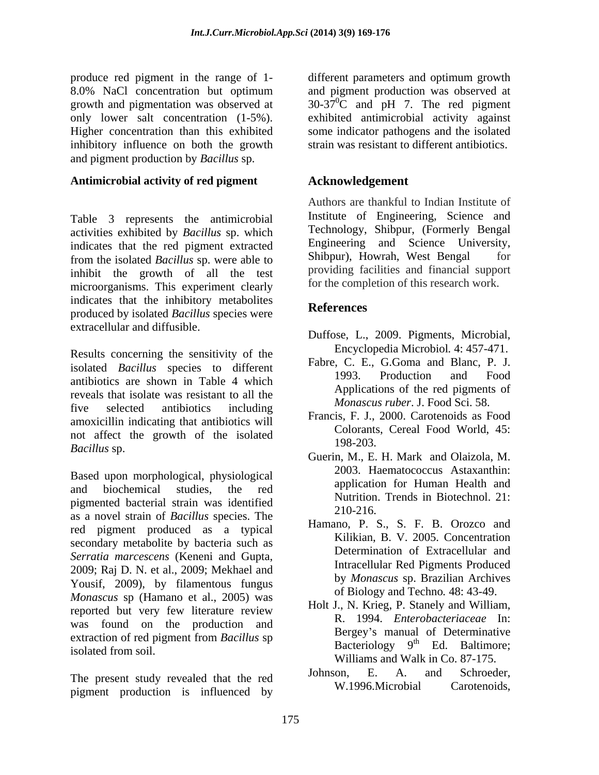produce red pigment in the range of 1- different parameters and optimum growth 8.0% NaCl concentration but optimum and pigment production was observed at growth and pigmentation was observed at  $30-37\degree C$  and pH 7. The red pigment only lower salt concentration (1-5%). exhibited antimicrobial activity against Higher concentration than this exhibited some indicator pathogens and the isolated inhibitory influence on both the growth and pigment production by *Bacillus* sp.

## **Antimicrobial activity of red pigment**

Table 3 represents the antimicrobial activities exhibited by *Bacillus* sp. which indicates that the red pigment extracted<br>
from the isolated Basillus on were able to<br>
Shibpur) Howrah, West Bengal for from the isolated *Bacillus* sp. were able to inhibit the growth of all the test microorganisms. This experiment clearly indicates that the inhibitory metabolites<br>
References produced by isolated *Bacillus* species were extracellular and diffusible.

Results concerning the sensitivity of the isolated *Bacillus* species to different antibiotics are shown in Table 4 which reveals that isolate was resistant to all the five selected antibiotics including *Monuscus River*. J. Pool Sci. 36. amoxicillin indicating that antibiotics will not affect the growth of the isolated<br>198-203. *Bacillus* sp. 2003.<br>*Bacillus* sp. 2003.

Based upon morphological, physiological and biochemical studies, the red<br> $\frac{1}{N}$  application for Human Health and pigmented bacterial strain was identified<br>210-216 as a novel strain of *Bacillus* species. The red pigment produced as a typical secondary metabolite by bacteria such as *Serratia marcescens* (Keneni and Gupta, 2009; Raj D. N. et al., 2009; Mekhael and Yousif, 2009), by filamentous fungus *Monascus* sp (Hamano et al., 2005) was reported but very few literature review was found on the production and extraction of red pigment from *Bacillus* sp  $\frac{1}{2}$  isolated from soil.  $\frac{1}{2}$  isolated from soil.

pigment production is influenced by

and pigment production was observed at strain was resistant to different antibiotics.

# **Acknowledgement**

Authors are thankful to Indian Institute of Institute of Engineering, Science and Technology, Shibpur, (Formerly Bengal Engineering and Science University, Shibpur), Howrah, West Bengal providing facilities and financial support for the completion of this research work.

# **References**

- Duffose, L., 2009. Pigments, Microbial, Encyclopedia Microbiol*.* 4: 457-471.
- Fabre, C. E., G.Goma and Blanc, P. J. 1993. Production and Food Applications of the red pigments of *Monascus ruber*. J. Food Sci. 58.
- Francis, F. J., 2000. Carotenoids as Food Colorants, Cereal Food World, 45: 198-203.
- Guerin, M., E. H. Mark and Olaizola, M. 2003. Haematococcus Astaxanthin: application for Human Health and Nutrition. Trends in Biotechnol. 21: 210-216.
- Hamano, P. S., S. F. B. Orozco and Kilikian, B. V. 2005. Concentration Determination of Extracellular and Intracellular Red Pigments Produced by *Monascus* sp. Brazilian Archives of Biology and Techno*.* 48: 43-49.
- Holt J., N. Krieg, P. Stanely and William, R. 1994. *Enterobacteriaceae* In: Bergey's manual of Determinative Bacteriology  $9<sup>th</sup>$  Ed. Baltimore: <sup>th</sup> Ed. Baltimore; Williams and Walk in Co. 87-175.
- The present study revealed that the red<br>  $V$ . 1996. Microbial Carotenoids. Johnson, E. A. and Schroeder, W.1996.Microbial